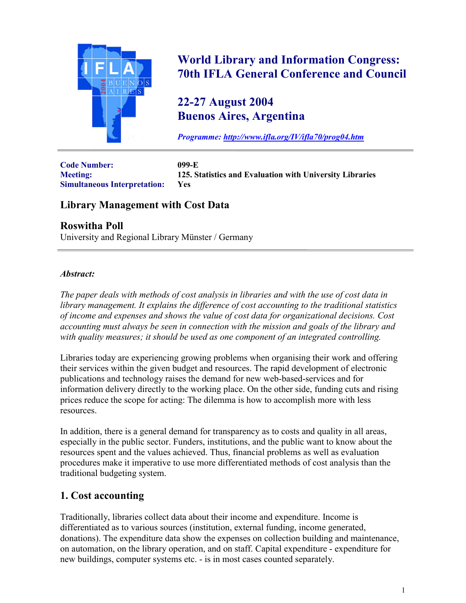

# **World Library and Information Congress: 70th IFLA General Conference and Council**

# **22-27 August 2004 Buenos Aires, Argentina**

*Programme: <http://www.ifla.org/IV/ifla70/prog04.htm>*

**Code Number: 099-E Simultaneous Interpretation: Yes**

**Meeting: 125. Statistics and Evaluation with University Libraries**

# **Library Management with Cost Data**

## **Roswitha Poll**

University and Regional Library Münster / Germany

#### *Abstract:*

*The paper deals with methods of cost analysis in libraries and with the use of cost data in library management. It explains the difference of cost accounting to the traditional statistics of income and expenses and shows the value of cost data for organizational decisions. Cost accounting must always be seen in connection with the mission and goals of the library and with quality measures; it should be used as one component of an integrated controlling.*

Libraries today are experiencing growing problems when organising their work and offering their services within the given budget and resources. The rapid development of electronic publications and technology raises the demand for new web-based-services and for information delivery directly to the working place. On the other side, funding cuts and rising prices reduce the scope for acting: The dilemma is how to accomplish more with less resources.

In addition, there is a general demand for transparency as to costs and quality in all areas, especially in the public sector. Funders, institutions, and the public want to know about the resources spent and the values achieved. Thus, financial problems as well as evaluation procedures make it imperative to use more differentiated methods of cost analysis than the traditional budgeting system.

## **1. Cost accounting**

Traditionally, libraries collect data about their income and expenditure. Income is differentiated as to various sources (institution, external funding, income generated, donations). The expenditure data show the expenses on collection building and maintenance, on automation, on the library operation, and on staff. Capital expenditure - expenditure for new buildings, computer systems etc. - is in most cases counted separately.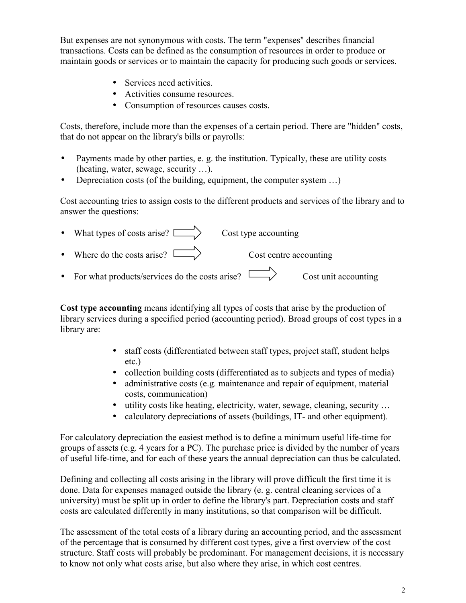But expenses are not synonymous with costs. The term "expenses" describes financial transactions. Costs can be defined as the consumption of resources in order to produce or maintain goods or services or to maintain the capacity for producing such goods or services.

- Services need activities.
- Activities consume resources.
- Consumption of resources causes costs.

Costs, therefore, include more than the expenses of a certain period. There are "hidden" costs, that do not appear on the library's bills or payrolls:

- Payments made by other parties, e. g. the institution. Typically, these are utility costs (heating, water, sewage, security …).
- Depreciation costs (of the building, equipment, the computer system ...)

Cost accounting tries to assign costs to the different products and services of the library and to answer the questions:

| • What types of costs arise? $\Box$              | Cost type accounting   |                      |
|--------------------------------------------------|------------------------|----------------------|
| • Where do the costs arise? $\Box$               | Cost centre accounting |                      |
| • For what products/services do the costs arise? |                        | Cost unit accounting |

**Cost type accounting** means identifying all types of costs that arise by the production of library services during a specified period (accounting period). Broad groups of cost types in a library are:

- staff costs (differentiated between staff types, project staff, student helps etc.)
- collection building costs (differentiated as to subjects and types of media)
- administrative costs (e.g. maintenance and repair of equipment, material costs, communication)
- utility costs like heating, electricity, water, sewage, cleaning, security ...
- calculatory depreciations of assets (buildings, IT- and other equipment).

For calculatory depreciation the easiest method is to define a minimum useful life-time for groups of assets (e.g. 4 years for a PC). The purchase price is divided by the number of years of useful life-time, and for each of these years the annual depreciation can thus be calculated.

Defining and collecting all costs arising in the library will prove difficult the first time it is done. Data for expenses managed outside the library (e. g. central cleaning services of a university) must be split up in order to define the library's part. Depreciation costs and staff costs are calculated differently in many institutions, so that comparison will be difficult.

The assessment of the total costs of a library during an accounting period, and the assessment of the percentage that is consumed by different cost types, give a first overview of the cost structure. Staff costs will probably be predominant. For management decisions, it is necessary to know not only what costs arise, but also where they arise, in which cost centres.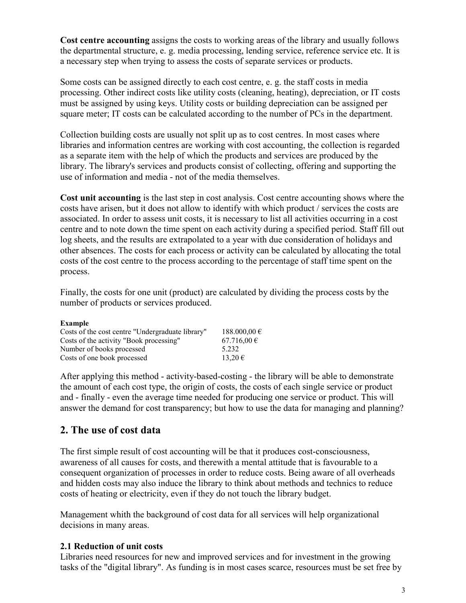**Cost centre accounting** assigns the costs to working areas of the library and usually follows the departmental structure, e. g. media processing, lending service, reference service etc. It is a necessary step when trying to assess the costs of separate services or products.

Some costs can be assigned directly to each cost centre, e. g. the staff costs in media processing. Other indirect costs like utility costs (cleaning, heating), depreciation, or IT costs must be assigned by using keys. Utility costs or building depreciation can be assigned per square meter; IT costs can be calculated according to the number of PCs in the department.

Collection building costs are usually not split up as to cost centres. In most cases where libraries and information centres are working with cost accounting, the collection is regarded as a separate item with the help of which the products and services are produced by the library. The library's services and products consist of collecting, offering and supporting the use of information and media - not of the media themselves.

**Cost unit accounting** is the last step in cost analysis. Cost centre accounting shows where the costs have arisen, but it does not allow to identify with which product / services the costs are associated. In order to assess unit costs, it is necessary to list all activities occurring in a cost centre and to note down the time spent on each activity during a specified period. Staff fill out log sheets, and the results are extrapolated to a year with due consideration of holidays and other absences. The costs for each process or activity can be calculated by allocating the total costs of the cost centre to the process according to the percentage of staff time spent on the process.

Finally, the costs for one unit (product) are calculated by dividing the process costs by the number of products or services produced.

| <b>Example</b>                                   |                 |
|--------------------------------------------------|-----------------|
| Costs of the cost centre "Undergraduate library" | 188.000,00 €    |
| Costs of the activity "Book processing"          | $67.716,00 \in$ |
| Number of books processed                        | 5 2 3 2         |
| Costs of one book processed                      | 13.20€          |

After applying this method - activity-based-costing - the library will be able to demonstrate the amount of each cost type, the origin of costs, the costs of each single service or product and - finally - even the average time needed for producing one service or product. This will answer the demand for cost transparency; but how to use the data for managing and planning?

## **2. The use of cost data**

The first simple result of cost accounting will be that it produces cost-consciousness, awareness of all causes for costs, and therewith a mental attitude that is favourable to a consequent organization of processes in order to reduce costs. Being aware of all overheads and hidden costs may also induce the library to think about methods and technics to reduce costs of heating or electricity, even if they do not touch the library budget.

Management whith the background of cost data for all services will help organizational decisions in many areas.

## **2.1 Reduction of unit costs**

Libraries need resources for new and improved services and for investment in the growing tasks of the "digital library". As funding is in most cases scarce, resources must be set free by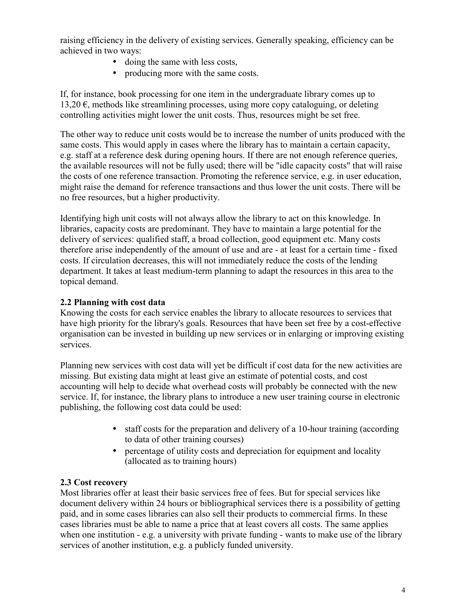raising efficiency in the delivery of existing services. Generally speaking, efficiency can be achieved in two ways:

- doing the same with less costs,
- producing more with the same costs.

If, for instance, book processing for one item in the undergraduate library comes up to 13,20  $\epsilon$ , methods like streamlining processes, using more copy cataloguing, or deleting controlling activities might lower the unit costs. Thus, resources might be set free.

The other way to reduce unit costs would be to increase the number of units produced with the same costs. This would apply in cases where the library has to maintain a certain capacity, e.g. staff at a reference desk during opening hours. If there are not enough reference queries, the available resources will not be fully used; there will be "idle capacity costs" that will raise the costs of one reference transaction. Promoting the reference service, e.g. in user education, might raise the demand for reference transactions and thus lower the unit costs. There will be no free resources, but a higher productivity.

Identifying high unit costs will not always allow the library to act on this knowledge. In libraries, capacity costs are predominant. They have to maintain a large potential for the delivery of services: qualified staff, a broad collection, good equipment etc. Many costs therefore arise independently of the amount of use and are - at least for a certain time - fixed costs. If circulation decreases, this will not immediately reduce the costs of the lending department. It takes at least medium-term planning to adapt the resources in this area to the topical demand.

#### **2.2 Planning with cost data**

Knowing the costs for each service enables the library to allocate resources to services that have high priority for the library's goals. Resources that have been set free by a cost-effective organisation can be invested in building up new services or in enlarging or improving existing services.

Planning new services with cost data will yet be difficult if cost data for the new activities are missing. But existing data might at least give an estimate of potential costs, and cost accounting will help to decide what overhead costs will probably be connected with the new service. If, for instance, the library plans to introduce a new user training course in electronic publishing, the following cost data could be used:

- staff costs for the preparation and delivery of a 10-hour training (according to data of other training courses)
- percentage of utility costs and depreciation for equipment and locality (allocated as to training hours)

#### **2.3 Cost recovery**

Most libraries offer at least their basic services free of fees. But for special services like document delivery within 24 hours or bibliographical services there is a possibility of getting paid, and in some cases libraries can also sell their products to commercial firms. In these cases libraries must be able to name a price that at least covers all costs. The same applies when one institution - e.g. a university with private funding - wants to make use of the library services of another institution, e.g. a publicly funded university.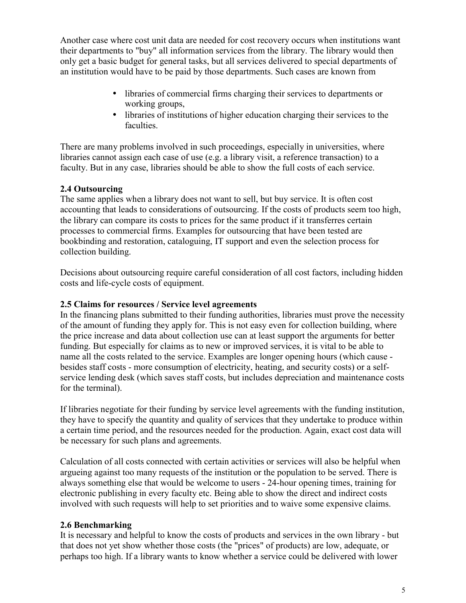Another case where cost unit data are needed for cost recovery occurs when institutions want their departments to "buy" all information services from the library. The library would then only get a basic budget for general tasks, but all services delivered to special departments of an institution would have to be paid by those departments. Such cases are known from

- libraries of commercial firms charging their services to departments or working groups,
- libraries of institutions of higher education charging their services to the faculties.

There are many problems involved in such proceedings, especially in universities, where libraries cannot assign each case of use (e.g. a library visit, a reference transaction) to a faculty. But in any case, libraries should be able to show the full costs of each service.

## **2.4 Outsourcing**

The same applies when a library does not want to sell, but buy service. It is often cost accounting that leads to considerations of outsourcing. If the costs of products seem too high, the library can compare its costs to prices for the same product if it transferres certain processes to commercial firms. Examples for outsourcing that have been tested are bookbinding and restoration, cataloguing, IT support and even the selection process for collection building.

Decisions about outsourcing require careful consideration of all cost factors, including hidden costs and life-cycle costs of equipment.

## **2.5 Claims for resources / Service level agreements**

In the financing plans submitted to their funding authorities, libraries must prove the necessity of the amount of funding they apply for. This is not easy even for collection building, where the price increase and data about collection use can at least support the arguments for better funding. But especially for claims as to new or improved services, it is vital to be able to name all the costs related to the service. Examples are longer opening hours (which cause besides staff costs - more consumption of electricity, heating, and security costs) or a selfservice lending desk (which saves staff costs, but includes depreciation and maintenance costs for the terminal).

If libraries negotiate for their funding by service level agreements with the funding institution, they have to specify the quantity and quality of services that they undertake to produce within a certain time period, and the resources needed for the production. Again, exact cost data will be necessary for such plans and agreements.

Calculation of all costs connected with certain activities or services will also be helpful when argueing against too many requests of the institution or the population to be served. There is always something else that would be welcome to users - 24-hour opening times, training for electronic publishing in every faculty etc. Being able to show the direct and indirect costs involved with such requests will help to set priorities and to waive some expensive claims.

## **2.6 Benchmarking**

It is necessary and helpful to know the costs of products and services in the own library - but that does not yet show whether those costs (the "prices" of products) are low, adequate, or perhaps too high. If a library wants to know whether a service could be delivered with lower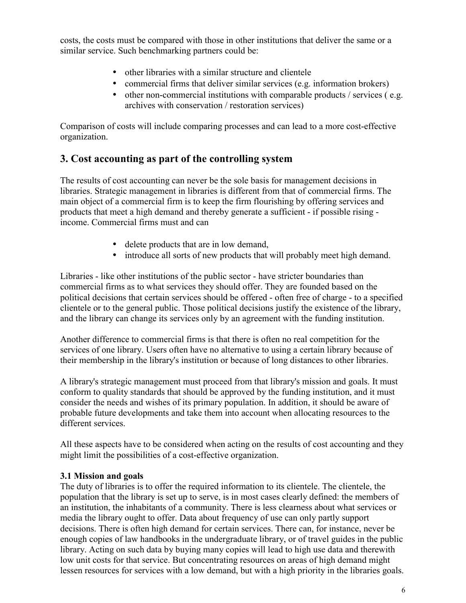costs, the costs must be compared with those in other institutions that deliver the same or a similar service. Such benchmarking partners could be:

- other libraries with a similar structure and clientele
- commercial firms that deliver similar services (e.g. information brokers)
- other non-commercial institutions with comparable products / services (e.g. archives with conservation / restoration services)

Comparison of costs will include comparing processes and can lead to a more cost-effective organization.

# **3. Cost accounting as part of the controlling system**

The results of cost accounting can never be the sole basis for management decisions in libraries. Strategic management in libraries is different from that of commercial firms. The main object of a commercial firm is to keep the firm flourishing by offering services and products that meet a high demand and thereby generate a sufficient - if possible rising income. Commercial firms must and can

- delete products that are in low demand,
- introduce all sorts of new products that will probably meet high demand.

Libraries - like other institutions of the public sector - have stricter boundaries than commercial firms as to what services they should offer. They are founded based on the political decisions that certain services should be offered - often free of charge - to a specified clientele or to the general public. Those political decisions justify the existence of the library, and the library can change its services only by an agreement with the funding institution.

Another difference to commercial firms is that there is often no real competition for the services of one library. Users often have no alternative to using a certain library because of their membership in the library's institution or because of long distances to other libraries.

A library's strategic management must proceed from that library's mission and goals. It must conform to quality standards that should be approved by the funding institution, and it must consider the needs and wishes of its primary population. In addition, it should be aware of probable future developments and take them into account when allocating resources to the different services.

All these aspects have to be considered when acting on the results of cost accounting and they might limit the possibilities of a cost-effective organization.

#### **3.1 Mission and goals**

The duty of libraries is to offer the required information to its clientele. The clientele, the population that the library is set up to serve, is in most cases clearly defined: the members of an institution, the inhabitants of a community. There is less clearness about what services or media the library ought to offer. Data about frequency of use can only partly support decisions. There is often high demand for certain services. There can, for instance, never be enough copies of law handbooks in the undergraduate library, or of travel guides in the public library. Acting on such data by buying many copies will lead to high use data and therewith low unit costs for that service. But concentrating resources on areas of high demand might lessen resources for services with a low demand, but with a high priority in the libraries goals.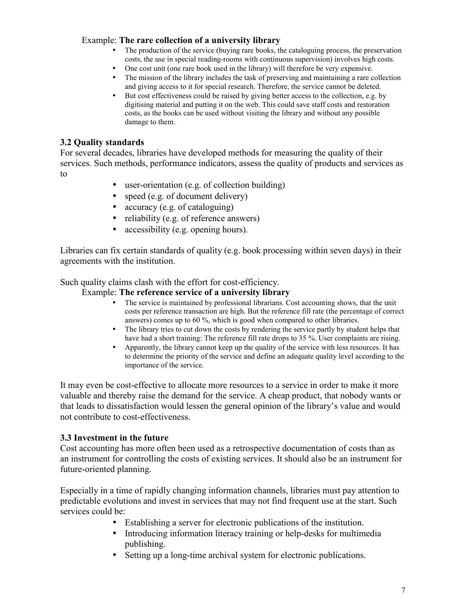#### Example: **The rare collection of a university library**

- The production of the service (buying rare books, the cataloguing process, the preservation costs, the use in special reading-rooms with continuous supervision) involves high costs.
- One cost unit (one rare book used in the library) will therefore be very expensive.
- The mission of the library includes the task of preserving and maintaining a rare collection and giving access to it for special research. Therefore, the service cannot be deleted.
- But cost effectiveness could be raised by giving better access to the collection, e.g. by digitising material and putting it on the web. This could save staff costs and restoration costs, as the books can be used without visiting the library and without any possible damage to them.

#### **3.2 Quality standards**

For several decades, libraries have developed methods for measuring the quality of their services. Such methods, performance indicators, assess the quality of products and services as to

- user-orientation (e.g. of collection building)
- speed (e.g. of document delivery)
- accuracy (e.g. of cataloguing)
- reliability (e.g. of reference answers)
- accessibility (e.g. opening hours).

Libraries can fix certain standards of quality (e.g. book processing within seven days) in their agreements with the institution.

Such quality claims clash with the effort for cost-efficiency.

#### Example: **The reference service of a university library**

- The service is maintained by professional librarians. Cost accounting shows, that the unit costs per reference transaction are high. But the reference fill rate (the percentage of correct answers) comes up to 60 %, which is good when compared to other libraries.
- The library tries to cut down the costs by rendering the service partly by student helps that have had a short training: The reference fill rate drops to 35 %. User complaints are rising.
- Apparently, the library cannot keep up the quality of the service with less resources. It has to determine the priority of the service and define an adequate quality level according to the importance of the service.

It may even be cost-effective to allocate more resources to a service in order to make it more valuable and thereby raise the demand for the service. A cheap product, that nobody wants or that leads to dissatisfaction would lessen the general opinion of the library's value and would not contribute to cost-effectiveness.

#### **3.3 Investment in the future**

Cost accounting has more often been used as a retrospective documentation of costs than as an instrument for controlling the costs of existing services. It should also be an instrument for future-oriented planning.

Especially in a time of rapidly changing information channels, libraries must pay attention to predictable evolutions and invest in services that may not find frequent use at the start. Such services could be:

- Establishing a server for electronic publications of the institution.
- Introducing information literacy training or help-desks for multimedia publishing.
- Setting up a long-time archival system for electronic publications.